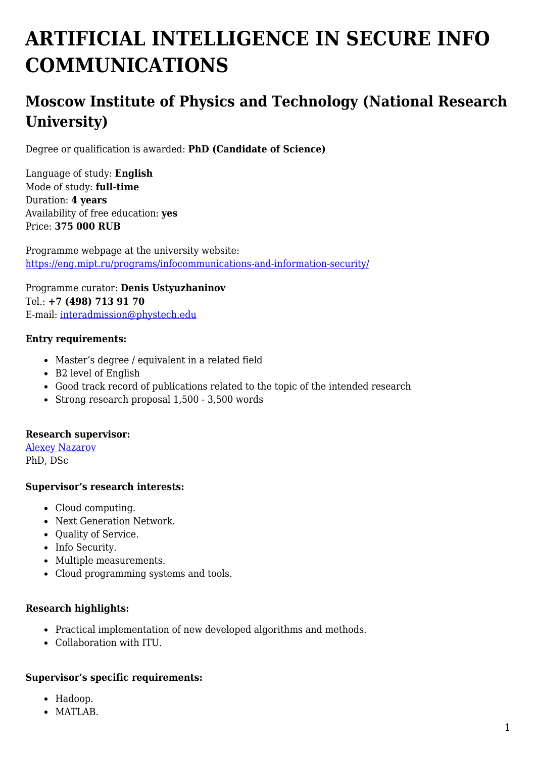# **ARTIFICIAL INTELLIGENCE IN SECURE INFO COMMUNICATIONS**

# **Moscow Institute of Physics and Technology (National Research University)**

Degree or qualification is awarded: **PhD (Candidate of Science)**

Language of study: **English** Mode of study: **full-time** Duration: **4 years** Availability of free education: **yes** Price: **375 000 RUB**

Programme webpage at the university website: <https://eng.mipt.ru/programs/infocommunications-and-information-security/>

Programme curator: **Denis Ustyuzhaninov** Tel.: **+7 (498) 713 91 70** E-mail: [interadmission@phystech.edu](mailto:interadmission@phystech.edu)

#### **Entry requirements:**

- Master's degree / equivalent in a related field
- B2 level of English
- Good track record of publications related to the topic of the intended research
- Strong research proposal 1,500 3,500 words

#### **Research supervisor:**

[Alexey Nazarov](https://www.researchgate.net/profile/Alexey_Nazarov3) PhD, DSc

#### **Supervisor's research interests:**

- Cloud computing.
- Next Generation Network.
- Ouality of Service.
- Info Security.
- Multiple measurements.
- Cloud programming systems and tools.

#### **Research highlights:**

- Practical implementation of new developed algorithms and methods.
- Collaboration with ITU.

#### **Supervisor's specific requirements:**

- Hadoop.
- MATLAB.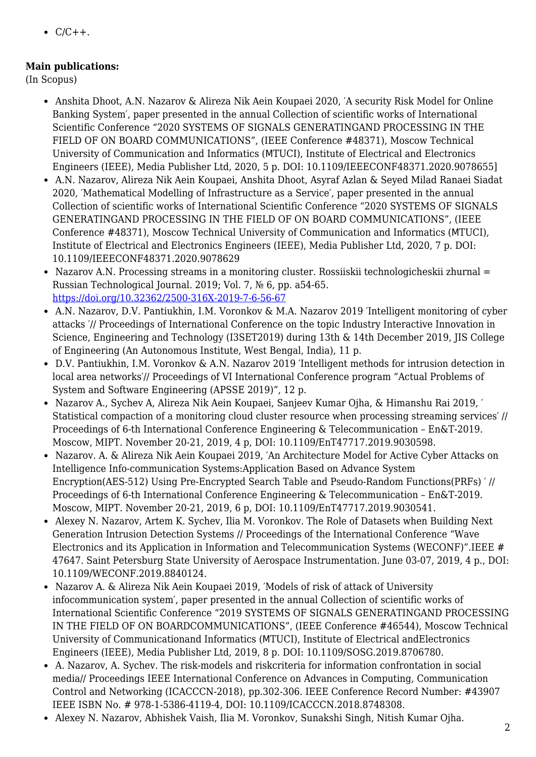$\bullet$  C/C++.

## **Main publications:**

(In Scopus)

- Anshita Dhoot, A.N. Nazarov & Alireza Nik Aein Koupaei 2020, ′A security Risk Model for Online Banking System′, paper presented in the annual Collection of scientific works of International Scientific Conference "2020 SYSTEMS OF SIGNALS GENERATINGAND PROCESSING IN THE FIELD OF ON BOARD COMMUNICATIONS", (IEEE Conference #48371), Moscow Technical University of Communication and Informatics (МTUCI), Institute of Electrical and Electronics Engineers (IEEE), Media Publisher Ltd, 2020, 5 p. DOI: 10.1109/IEEECONF48371.2020.9078655]
- A.N. Nazarov, Alireza Nik Aein Koupaei, Anshita Dhoot, Asyraf Azlan & Seyed Milad Ranaei Siadat 2020, ′Mathematical Modelling of Infrastructure as a Service′, paper presented in the annual Collection of scientific works of International Scientific Conference "2020 SYSTEMS OF SIGNALS GENERATINGAND PROCESSING IN THE FIELD OF ON BOARD COMMUNICATIONS", (IEEE Conference #48371), Moscow Technical University of Communication and Informatics (МTUCI), Institute of Electrical and Electronics Engineers (IEEE), Media Publisher Ltd, 2020, 7 p. DOI: 10.1109/IEEECONF48371.2020.9078629
- Nazarov A.N. Processing streams in a monitoring cluster. Rossiiskii technologicheskii zhurnal = Russian Technological Journal. 2019; Vol. 7, № 6, pp. a54-65. <https://doi.org/10.32362/2500-316X-2019-7-6-56-67>
- A.N. Nazarov, D.V. Pantiukhin, I.M. Voronkov & M.A. Nazarov 2019 ′Intelligent monitoring of cyber attacks ′// Proceedings of International Conference on the topic Industry Interactive Innovation in Science, Engineering and Technology (I3SET2019) during 13th & 14th December 2019, JIS College of Engineering (An Autonomous Institute, West Bengal, India), 11 p.
- D.V. Pantiukhin, I.M. Voronkov & A.N. Nazarov 2019 ′Intelligent methods for intrusion detection in local area networks′// Proceedings of VI International Conference program "Actual Problems of System and Software Engineering (APSSE 2019)", 12 p.
- Nazarov A., Sychev A, Alireza Nik Aein Koupaei, Sanjeev Kumar Ojha, & Himanshu Rai 2019, ′ Statistical compaction of a monitoring cloud cluster resource when processing streaming services′ // Proceedings of 6-th International Conference Engineering & Telecommunication – En&T-2019. Moscow, MIPT. November 20-21, 2019, 4 p, DOI: 10.1109/EnT47717.2019.9030598.
- Nazarov. A. & Alireza Nik Aein Koupaei 2019, ′An Architecture Model for Active Cyber Attacks on Intelligence Info-communication Systems:Application Based on Advance System Encryption(AES-512) Using Pre-Encrypted Search Table and Pseudo-Random Functions(PRFs) ′ // Proceedings of 6-th International Conference Engineering & Telecommunication – En&T-2019. Moscow, MIPT. November 20-21, 2019, 6 p, DOI: 10.1109/EnT47717.2019.9030541.
- Alexey N. Nazarov, Artem K. Sychev, Ilia M. Voronkov. The Role of Datasets when Building Next Generation Intrusion Detection Systems // Proceedings of the International Conference "Wave Electronics and its Application in Information and Telecommunication Systems (WECONF)".IEEE # 47647. Saint Petersburg State University of Aerospace Instrumentation. June 03-07, 2019, 4 p., DOI: 10.1109/WECONF.2019.8840124.
- Nazarov A. & Alireza Nik Aein Koupaei 2019, ′Models of risk of attack of University infocommunication system′, paper presented in the annual Collection of scientific works of International Scientific Conference "2019 SYSTEMS OF SIGNALS GENERATINGAND PROCESSING IN THE FIELD OF ON BOARDCOMMUNICATIONS", (IEEE Conference #46544), Moscow Technical University of Communicationand Informatics (МTUCI), Institute of Electrical andElectronics Engineers (IEEE), Media Publisher Ltd, 2019, 8 p. DOI: 10.1109/SOSG.2019.8706780.
- A. Nazarov, A. Sychev. The risk-models and riskcriteria for information confrontation in social media// Proceedings IEEE International Conference on Advances in Computing, Communication Control and Networking (ICACCCN-2018), pp.302-306. IEEE Conference Record Number: #43907 IEEE ISBN No. # 978-1-5386-4119-4, DOI: 10.1109/ICACCCN.2018.8748308.
- Alexey N. Nazarov, Abhishek Vaish, Ilia M. Voronkov, Sunakshi Singh, Nitish Kumar Ojha.